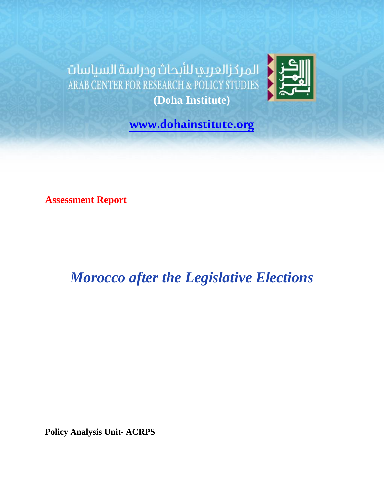المركزالعربي للأبحاث ودراسة السياسات ARAB CENTER FOR RESEARCH & POLICY STUDIES **(Doha Institute)**



**[www.dohainstitute.org](http://www.dohainstitute.org/)**

**Assessment Report**

<span id="page-0-0"></span>*Morocco after the Legislative Elections*

**Policy Analysis Unit- ACRPS**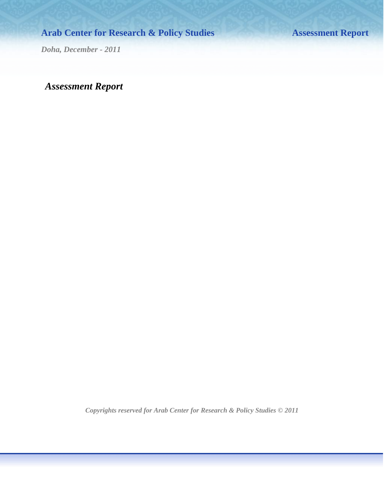## **Arab Center for Research & Policy Studies Assessment Report**

*Doha, December - 2011*

### *Assessment Report*

*Copyrights reserved for Arab Center for Research & Policy Studies © 2011*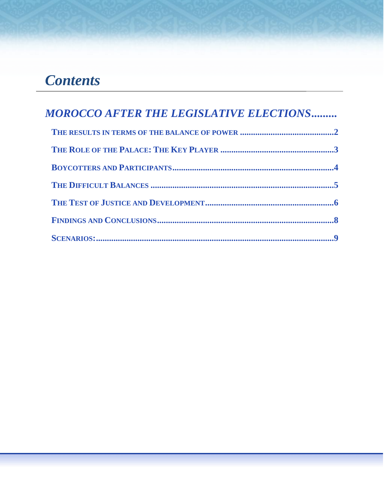# *Contents*

| <b>MOROCCO AFTER THE LEGISLATIVE ELECTIONS</b> |  |
|------------------------------------------------|--|
|                                                |  |
|                                                |  |
|                                                |  |
|                                                |  |
|                                                |  |
|                                                |  |
|                                                |  |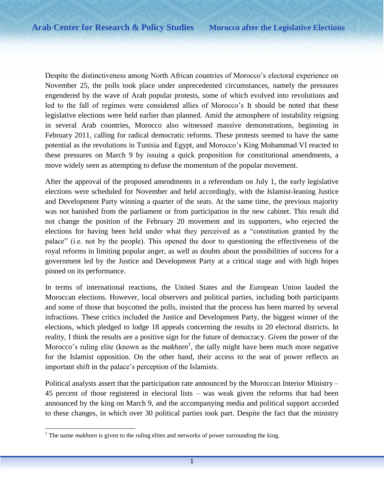Despite the distinctiveness among North African countries of Morocco's electoral experience on November 25, the polls took place under unprecedented circumstances, namely the pressures engendered by the wave of Arab popular protests, some of which evolved into revolutions and led to the fall of regimes were considered allies of Morocco's It should be noted that these legislative elections were held earlier than planned. Amid the atmosphere of instability reigning in several Arab countries, Morocco also witnessed massive demonstrations, beginning in February 2011, calling for radical democratic reforms. These protests seemed to have the same potential as the revolutions in Tunisia and Egypt, and Morocco's King Mohammad VI reacted to these pressures on March 9 by issuing a quick proposition for constitutional amendments, a move widely seen as attempting to defuse the momentum of the popular movement.

After the approval of the proposed amendments in a referendum on July 1, the early legislative elections were scheduled for November and held accordingly, with the Islamist-leaning Justice and Development Party winning a quarter of the seats. At the same time, the previous majority was not banished from the parliament or from participation in the new cabinet. This result did not change the position of the February 20 movement and its supporters, who rejected the elections for having been held under what they perceived as a "constitution granted by the palace" (i.e. not by the people). This opened the door to questioning the effectiveness of the royal reforms in limiting popular anger, as well as doubts about the possibilities of success for a government led by the Justice and Development Party at a critical stage and with high hopes pinned on its performance.

In terms of international reactions, the United States and the European Union lauded the Moroccan elections. However, local observers and political parties, including both participants and some of those that boycotted the polls, insisted that the process has been marred by several infractions. These critics included the Justice and Development Party, the biggest winner of the elections, which pledged to lodge 18 appeals concerning the results in 20 electoral districts. In reality, I think the results are a positive sign for the future of democracy. Given the power of the Morocco's ruling elite (known as the *makhzen*<sup>1</sup>, the tally might have been much more negative for the Islamist opposition. On the other hand, their access to the seat of power reflects an important shift in the palace's perception of the Islamists.

Political analysts assert that the participation rate announced by the Moroccan Interior Ministry – 45 percent of those registered in electoral lists – was weak given the reforms that had been announced by the king on March 9, and the accompanying media and political support accorded to these changes, in which over 30 political parties took part. Despite the fact that the ministry

 $\overline{\phantom{a}}$ <sup>1</sup> The name *makhzen* is given to the ruling elites and networks of power surrounding the king.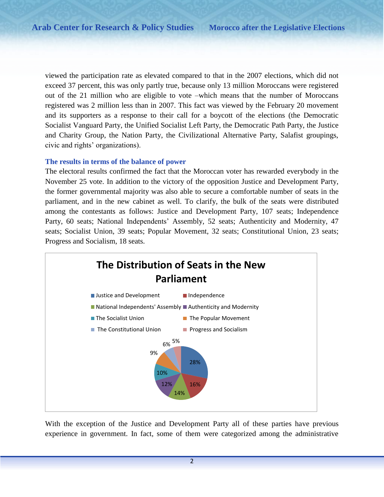viewed the participation rate as elevated compared to that in the 2007 elections, which did not exceed 37 percent, this was only partly true, because only 13 million Moroccans were registered out of the 21 million who are eligible to vote –which means that the number of Moroccans registered was 2 million less than in 2007. This fact was viewed by the February 20 movement and its supporters as a response to their call for a boycott of the elections (the Democratic Socialist Vanguard Party, the Unified Socialist Left Party, the Democratic Path Party, the Justice and Charity Group, the Nation Party, the Civilizational Alternative Party, Salafist groupings, civic and rights' organizations).

#### <span id="page-4-0"></span>**The results in terms of the balance of power**

The electoral results confirmed the fact that the Moroccan voter has rewarded everybody in the November 25 vote. In addition to the victory of the opposition Justice and Development Party, the former governmental majority was also able to secure a comfortable number of seats in the parliament, and in the new cabinet as well. To clarify, the bulk of the seats were distributed among the contestants as follows: Justice and Development Party, 107 seats; Independence Party, 60 seats; National Independents' Assembly, 52 seats; Authenticity and Modernity, 47 seats; Socialist Union, 39 seats; Popular Movement, 32 seats; Constitutional Union, 23 seats; Progress and Socialism, 18 seats.



With the exception of the Justice and Development Party all of these parties have previous experience in government. In fact, some of them were categorized among the administrative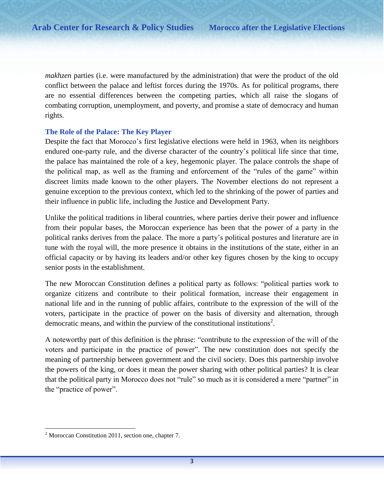*makhzen* parties (i.e. were manufactured by the administration) that were the product of the old conflict between the palace and leftist forces during the 1970s. As for political programs, there are no essential differences between the competing parties, which all raise the slogans of combating corruption, unemployment, and poverty, and promise a state of democracy and human rights.

#### <span id="page-5-0"></span>**The Role of the Palace: The Key Player**

Despite the fact that Morocco's first legislative elections were held in 1963, when its neighbors endured one-party rule, and the diverse character of the country's political life since that time, the palace has maintained the role of a key, hegemonic player. The palace controls the shape of the political map, as well as the framing and enforcement of the "rules of the game" within discreet limits made known to the other players. The November elections do not represent a genuine exception to the previous context, which led to the shrinking of the power of parties and their influence in public life, including the Justice and Development Party.

Unlike the political traditions in liberal countries, where parties derive their power and influence from their popular bases, the Moroccan experience has been that the power of a party in the political ranks derives from the palace. The more a party's political postures and literature are in tune with the royal will, the more presence it obtains in the institutions of the state, either in an official capacity or by having its leaders and/or other key figures chosen by the king to occupy senior posts in the establishment.

The new Moroccan Constitution defines a political party as follows: "political parties work to organize citizens and contribute to their political formation, increase their engagement in national life and in the running of public affairs, contribute to the expression of the will of the voters, participate in the practice of power on the basis of diversity and alternation, through democratic means, and within the purview of the constitutional institutions<sup>2</sup>.

A noteworthy part of this definition is the phrase: "contribute to the expression of the will of the voters and participate in the practice of power". The new constitution does not specify the meaning of partnership between government and the civil society. Does this partnership involve the powers of the king, or does it mean the power sharing with other political parties? It is clear that the political party in Morocco does not "rule" so much as it is considered a mere "partner" in the "practice of power".

 $\overline{\phantom{a}}$ 

 $2$  Moroccan Constitution 2011, section one, chapter 7.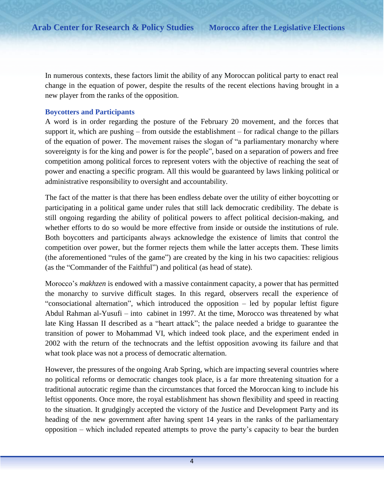In numerous contexts, these factors limit the ability of any Moroccan political party to enact real change in the equation of power, despite the results of the recent elections having brought in a new player from the ranks of the opposition.

#### <span id="page-6-0"></span>**Boycotters and Participants**

A word is in order regarding the posture of the February 20 movement, and the forces that support it, which are pushing – from outside the establishment – for radical change to the pillars of the equation of power. The movement raises the slogan of "a parliamentary monarchy where sovereignty is for the king and power is for the people", based on a separation of powers and free competition among political forces to represent voters with the objective of reaching the seat of power and enacting a specific program. All this would be guaranteed by laws linking political or administrative responsibility to oversight and accountability.

The fact of the matter is that there has been endless debate over the utility of either boycotting or participating in a political game under rules that still lack democratic credibility. The debate is still ongoing regarding the ability of political powers to affect political decision-making, and whether efforts to do so would be more effective from inside or outside the institutions of rule. Both boycotters and participants always acknowledge the existence of limits that control the competition over power, but the former rejects them while the latter accepts them. These limits (the aforementioned "rules of the game") are created by the king in his two capacities: religious (as the "Commander of the Faithful") and political (as head of state).

Morocco's *makhzen* is endowed with a massive containment capacity, a power that has permitted the monarchy to survive difficult stages. In this regard, observers recall the experience of "consociational alternation", which introduced the opposition – led by popular leftist figure Abdul Rahman al-Yusufi – into cabinet in 1997. At the time, Morocco was threatened by what late King Hassan II described as a "heart attack"; the palace needed a bridge to guarantee the transition of power to Mohammad VI, which indeed took place, and the experiment ended in 2002 with the return of the technocrats and the leftist opposition avowing its failure and that what took place was not a process of democratic alternation.

However, the pressures of the ongoing Arab Spring, which are impacting several countries where no political reforms or democratic changes took place, is a far more threatening situation for a traditional autocratic regime than the circumstances that forced the Moroccan king to include his leftist opponents. Once more, the royal establishment has shown flexibility and speed in reacting to the situation. It grudgingly accepted the victory of the Justice and Development Party and its heading of the new government after having spent 14 years in the ranks of the parliamentary opposition – which included repeated attempts to prove the party's capacity to bear the burden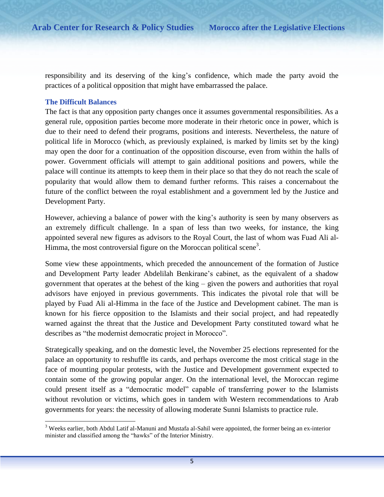responsibility and its deserving of the king's confidence, which made the party avoid the practices of a political opposition that might have embarrassed the palace.

#### <span id="page-7-0"></span>**The Difficult Balances**

l

The fact is that any opposition party changes once it assumes governmental responsibilities. As a general rule, opposition parties become more moderate in their rhetoric once in power, which is due to their need to defend their programs, positions and interests. Nevertheless, the nature of political life in Morocco (which, as previously explained, is marked by limits set by the king) may open the door for a continuation of the opposition discourse, even from within the halls of power. Government officials will attempt to gain additional positions and powers, while the palace will continue its attempts to keep them in their place so that they do not reach the scale of popularity that would allow them to demand further reforms. This raises a concernabout the future of the conflict between the royal establishment and a government led by the Justice and Development Party.

However, achieving a balance of power with the king's authority is seen by many observers as an extremely difficult challenge. In a span of less than two weeks, for instance, the king appointed several new figures as advisors to the Royal Court, the last of whom was Fuad Ali al-Himma, the most controversial figure on the Moroccan political scene<sup>3</sup>.

Some view these appointments, which preceded the announcement of the formation of Justice and Development Party leader Abdelilah Benkirane's cabinet, as the equivalent of a shadow government that operates at the behest of the king – given the powers and authorities that royal advisors have enjoyed in previous governments. This indicates the pivotal role that will be played by Fuad Ali al-Himma in the face of the Justice and Development cabinet. The man is known for his fierce opposition to the Islamists and their social project, and had repeatedly warned against the threat that the Justice and Development Party constituted toward what he describes as "the modernist democratic project in Morocco".

Strategically speaking, and on the domestic level, the November 25 elections represented for the palace an opportunity to reshuffle its cards, and perhaps overcome the most critical stage in the face of mounting popular protests, with the Justice and Development government expected to contain some of the growing popular anger. On the international level, the Moroccan regime could present itself as a "democratic model" capable of transferring power to the Islamists without revolution or victims, which goes in tandem with Western recommendations to Arab governments for years: the necessity of allowing moderate Sunni Islamists to practice rule.

 $3$  Weeks earlier, both Abdul Latif al-Manuni and Mustafa al-Sahil were appointed, the former being an ex-interior minister and classified among the "hawks" of the Interior Ministry.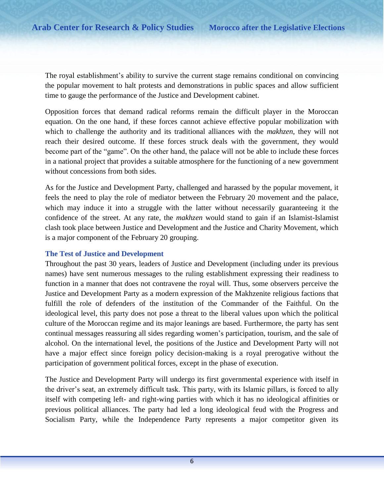The royal establishment's ability to survive the current stage remains conditional on convincing the popular movement to halt protests and demonstrations in public spaces and allow sufficient time to gauge the performance of the Justice and Development cabinet.

Opposition forces that demand radical reforms remain the difficult player in the Moroccan equation. On the one hand, if these forces cannot achieve effective popular mobilization with which to challenge the authority and its traditional alliances with the *makhzen*, they will not reach their desired outcome. If these forces struck deals with the government, they would become part of the "game". On the other hand, the palace will not be able to include these forces in a national project that provides a suitable atmosphere for the functioning of a new government without concessions from both sides.

As for the Justice and Development Party, challenged and harassed by the popular movement, it feels the need to play the role of mediator between the February 20 movement and the palace, which may induce it into a struggle with the latter without necessarily guaranteeing it the confidence of the street. At any rate, the *makhzen* would stand to gain if an Islamist-Islamist clash took place between Justice and Development and the Justice and Charity Movement, which is a major component of the February 20 grouping.

#### <span id="page-8-0"></span>**The Test of Justice and Development**

Throughout the past 30 years, leaders of Justice and Development (including under its previous names) have sent numerous messages to the ruling establishment expressing their readiness to function in a manner that does not contravene the royal will. Thus, some observers perceive the Justice and Development Party as a modern expression of the Makhzenite religious factions that fulfill the role of defenders of the institution of the Commander of the Faithful. On the ideological level, this party does not pose a threat to the liberal values upon which the political culture of the Moroccan regime and its major leanings are based. Furthermore, the party has sent continual messages reassuring all sides regarding women's participation, tourism, and the sale of alcohol. On the international level, the positions of the Justice and Development Party will not have a major effect since foreign policy decision-making is a royal prerogative without the participation of government political forces, except in the phase of execution.

The Justice and Development Party will undergo its first governmental experience with itself in the driver's seat, an extremely difficult task. This party, with its Islamic pillars, is forced to ally itself with competing left- and right-wing parties with which it has no ideological affinities or previous political alliances. The party had led a long ideological feud with the Progress and Socialism Party, while the Independence Party represents a major competitor given its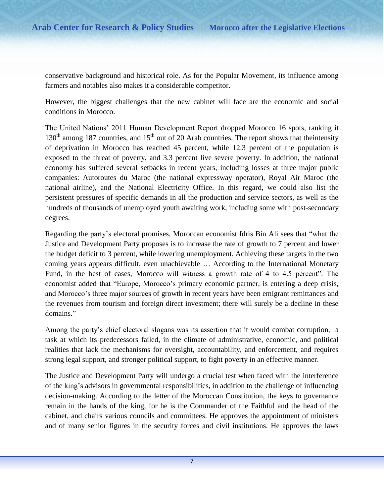conservative background and historical role. As for the Popular Movement, its influence among farmers and notables also makes it a considerable competitor.

However, the biggest challenges that the new cabinet will face are the economic and social conditions in Morocco.

The United Nations' 2011 Human Development Report dropped Morocco 16 spots, ranking it  $130<sup>th</sup>$  among 187 countries, and 15<sup>th</sup> out of 20 Arab countries. The report shows that the intensity of deprivation in Morocco has reached 45 percent, while 12.3 percent of the population is exposed to the threat of poverty, and 3.3 percent live severe poverty. In addition, the national economy has suffered several setbacks in recent years, including losses at three major public companies: Autoroutes du Maroc (the national expressway operator), Royal Air Maroc (the national airline), and the National Electricity Office. In this regard, we could also list the persistent pressures of specific demands in all the production and service sectors, as well as the hundreds of thousands of unemployed youth awaiting work, including some with post-secondary degrees.

Regarding the party's electoral promises, Moroccan economist Idris Bin Ali sees that "what the Justice and Development Party proposes is to increase the rate of growth to 7 percent and lower the budget deficit to 3 percent, while lowering unemployment. Achieving these targets in the two coming years appears difficult, even unachievable … According to the International Monetary Fund, in the best of cases, Morocco will witness a growth rate of 4 to 4.5 percent". The economist added that "Europe, Morocco's primary economic partner, is entering a deep crisis, and Morocco's three major sources of growth in recent years have been emigrant remittances and the revenues from tourism and foreign direct investment; there will surely be a decline in these domains."

Among the party's chief electoral slogans was its assertion that it would combat corruption, a task at which its predecessors failed, in the climate of administrative, economic, and political realities that lack the mechanisms for oversight, accountability, and enforcement, and requires strong legal support, and stronger political support, to fight poverty in an effective manner.

The Justice and Development Party will undergo a crucial test when faced with the interference of the king's advisors in governmental responsibilities, in addition to the challenge of influencing decision-making. According to the letter of the Moroccan Constitution, the keys to governance remain in the hands of the king, for he is the Commander of the Faithful and the head of the cabinet, and chairs various councils and committees. He approves the appointment of ministers and of many senior figures in the security forces and civil institutions. He approves the laws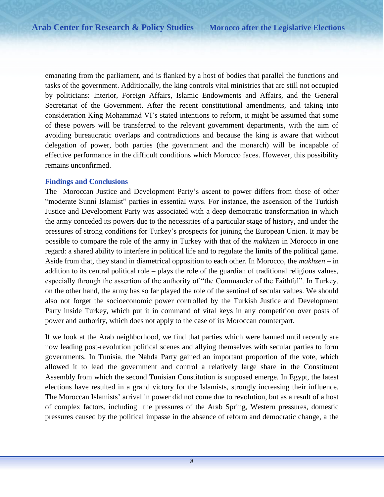emanating from the parliament, and is flanked by a host of bodies that parallel the functions and tasks of the government. Additionally, the king controls vital ministries that are still not occupied by politicians: Interior, Foreign Affairs, Islamic Endowments and Affairs, and the General Secretariat of the Government. After the recent constitutional amendments, and taking into consideration King Mohammad VI's stated intentions to reform, it might be assumed that some of these powers will be transferred to the relevant government departments, with the aim of avoiding bureaucratic overlaps and contradictions and because the king is aware that without delegation of power, both parties (the government and the monarch) will be incapable of effective performance in the difficult conditions which Morocco faces. However, this possibility remains unconfirmed.

#### <span id="page-10-0"></span>**Findings and Conclusions**

The Moroccan Justice and Development Party's ascent to power differs from those of other "moderate Sunni Islamist" parties in essential ways. For instance, the ascension of the Turkish Justice and Development Party was associated with a deep democratic transformation in which the army conceded its powers due to the necessities of a particular stage of history, and under the pressures of strong conditions for Turkey's prospects for joining the European Union. It may be possible to compare the role of the army in Turkey with that of the *makhzen* in Morocco in one regard: a shared ability to interfere in political life and to regulate the limits of the political game. Aside from that, they stand in diametrical opposition to each other. In Morocco, the *makhzen* – in addition to its central political role – plays the role of the guardian of traditional religious values, especially through the assertion of the authority of "the Commander of the Faithful". In Turkey, on the other hand, the army has so far played the role of the sentinel of secular values. We should also not forget the socioeconomic power controlled by the Turkish Justice and Development Party inside Turkey, which put it in command of vital keys in any competition over posts of power and authority, which does not apply to the case of its Moroccan counterpart.

If we look at the Arab neighborhood, we find that parties which were banned until recently are now leading post-revolution political scenes and allying themselves with secular parties to form governments. In Tunisia, the Nahda Party gained an important proportion of the vote, which allowed it to lead the government and control a relatively large share in the Constituent Assembly from which the second Tunisian Constitution is supposed emerge. In Egypt, the latest elections have resulted in a grand victory for the Islamists, strongly increasing their influence. The Moroccan Islamists' arrival in power did not come due to revolution, but as a result of a host of complex factors, including the pressures of the Arab Spring, Western pressures, domestic pressures caused by the political impasse in the absence of reform and democratic change, a the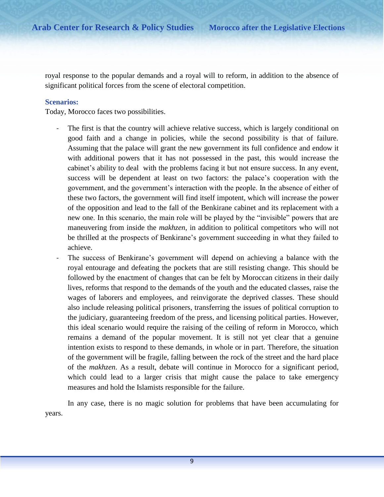royal response to the popular demands and a royal will to reform, in addition to the absence of significant political forces from the scene of electoral competition.

#### <span id="page-11-0"></span>**Scenarios:**

Today, Morocco faces two possibilities.

- The first is that the country will achieve relative success, which is largely conditional on good faith and a change in policies, while the second possibility is that of failure. Assuming that the palace will grant the new government its full confidence and endow it with additional powers that it has not possessed in the past, this would increase the cabinet's ability to deal with the problems facing it but not ensure success. In any event, success will be dependent at least on two factors: the palace's cooperation with the government, and the government's interaction with the people. In the absence of either of these two factors, the government will find itself impotent, which will increase the power of the opposition and lead to the fall of the Benkirane cabinet and its replacement with a new one. In this scenario, the main role will be played by the "invisible" powers that are maneuvering from inside the *makhzen*, in addition to political competitors who will not be thrilled at the prospects of Benkirane's government succeeding in what they failed to achieve.
- The success of Benkirane's government will depend on achieving a balance with the royal entourage and defeating the pockets that are still resisting change. This should be followed by the enactment of changes that can be felt by Moroccan citizens in their daily lives, reforms that respond to the demands of the youth and the educated classes, raise the wages of laborers and employees, and reinvigorate the deprived classes. These should also include releasing political prisoners, transferring the issues of political corruption to the judiciary, guaranteeing freedom of the press, and licensing political parties. However, this ideal scenario would require the raising of the ceiling of reform in Morocco, which remains a demand of the popular movement. It is still not yet clear that a genuine intention exists to respond to these demands, in whole or in part. Therefore, the situation of the government will be fragile, falling between the rock of the street and the hard place of the *makhzen*. As a result, debate will continue in Morocco for a significant period, which could lead to a larger crisis that might cause the palace to take emergency measures and hold the Islamists responsible for the failure.

In any case, there is no magic solution for problems that have been accumulating for years.